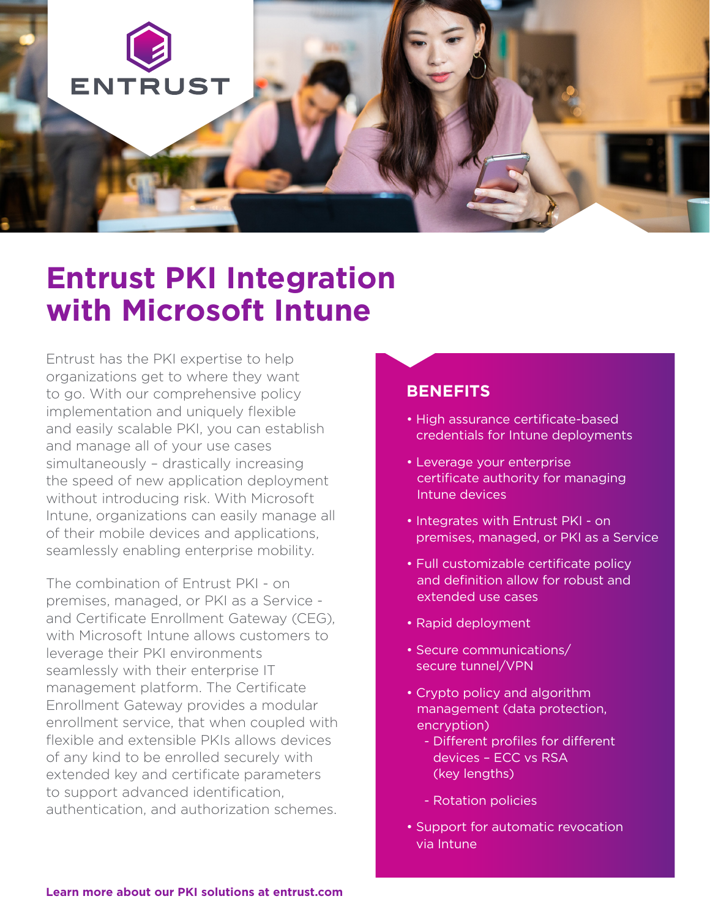

## **Entrust PKI Integration with Microsoft Intune**

Entrust has the PKI expertise to help organizations get to where they want to go. With our comprehensive policy implementation and uniquely flexible and easily scalable PKI, you can establish and manage all of your use cases simultaneously – drastically increasing the speed of new application deployment without introducing risk. With Microsoft Intune, organizations can easily manage all of their mobile devices and applications, seamlessly enabling enterprise mobility.

The combination of Entrust PKI - on premises, managed, or PKI as a Service and Certificate Enrollment Gateway (CEG), with Microsoft Intune allows customers to leverage their PKI environments seamlessly with their enterprise IT management platform. The Certificate Enrollment Gateway provides a modular enrollment service, that when coupled with flexible and extensible PKIs allows devices of any kind to be enrolled securely with extended key and certificate parameters to support advanced identification, authentication, and authorization schemes.

## **BENEFITS**

- High assurance certificate-based credentials for Intune deployments
- Leverage your enterprise certificate authority for managing Intune devices
- Integrates with Entrust PKI on premises, managed, or PKI as a Service
- Full customizable certificate policy and definition allow for robust and extended use cases
- Rapid deployment
- Secure communications/ secure tunnel/VPN
- Crypto policy and algorithm management (data protection, encryption)
	- Different profiles for different devices – ECC vs RSA (key lengths)
	- Rotation policies
- Support for automatic revocation via Intune